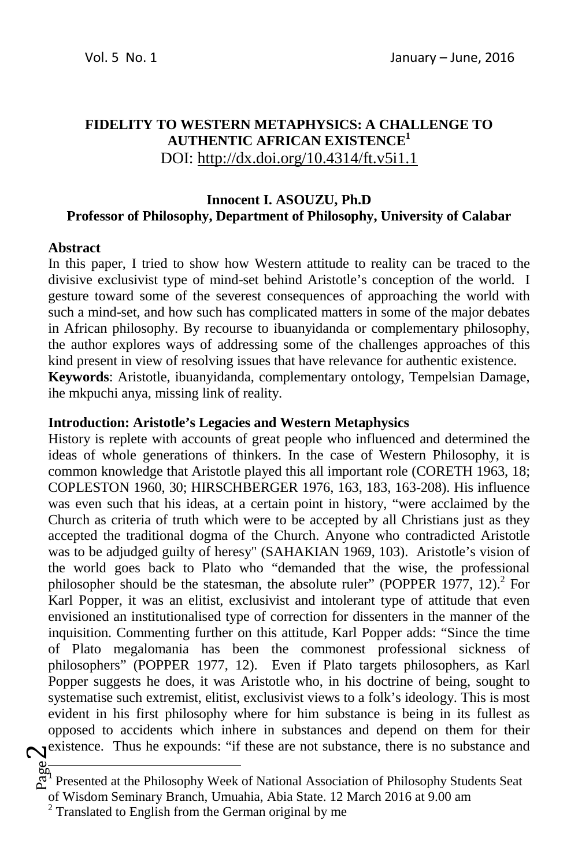# **FIDELITY TO WESTERN METAPHYSICS: A CHALLENGE TO AUTHENTIC AFRICAN EXISTENCE<sup>1</sup>** DOI: http://dx.doi.org/10.4314/ft.v5i1.1

# **Innocent I. ASOUZU, Ph.D Professor of Philosophy, Department of Philosophy, University of Calabar**

#### **Abstract**

In this paper, I tried to show how Western attitude to reality can be traced to the divisive exclusivist type of mind-set behind Aristotle's conception of the world. I gesture toward some of the severest consequences of approaching the world with such a mind-set, and how such has complicated matters in some of the major debates in African philosophy. By recourse to ibuanyidanda or complementary philosophy, the author explores ways of addressing some of the challenges approaches of this kind present in view of resolving issues that have relevance for authentic existence. **Keywords**: Aristotle, ibuanyidanda, complementary ontology, Tempelsian Damage, ihe mkpuchi anya, missing link of reality.

#### **Introduction: Aristotle's Legacies and Western Metaphysics**

**N**existence. Thus he expounds: "if these are not substance, there is no substance and History is replete with accounts of great people who influenced and determined the ideas of whole generations of thinkers. In the case of Western Philosophy, it is common knowledge that Aristotle played this all important role (CORETH 1963, 18; COPLESTON 1960, 30; HIRSCHBERGER 1976, 163, 183, 163-208). His influence was even such that his ideas, at a certain point in history, "were acclaimed by the Church as criteria of truth which were to be accepted by all Christians just as they accepted the traditional dogma of the Church. Anyone who contradicted Aristotle was to be adjudged guilty of heresy" (SAHAKIAN 1969, 103). Aristotle's vision of the world goes back to Plato who "demanded that the wise, the professional philosopher should be the statesman, the absolute ruler" (POPPER 1977, 12). $^2$  For Karl Popper, it was an elitist, exclusivist and intolerant type of attitude that even envisioned an institutionalised type of correction for dissenters in the manner of the inquisition. Commenting further on this attitude, Karl Popper adds: "Since the time of Plato megalomania has been the commonest professional sickness of philosophers" (POPPER 1977, 12). Even if Plato targets philosophers, as Karl Popper suggests he does, it was Aristotle who, in his doctrine of being, sought to systematise such extremist, elitist, exclusivist views to a folk's ideology. This is most evident in his first philosophy where for him substance is being in its fullest as opposed to accidents which inhere in substances and depend on them for their

ally and the Philosophy Week of National Association of Philosophy Students Seat and Presented at the Philosophy Week of National Association of Philosophy Students Seat

of Wisdom Seminary Branch, Umuahia, Abia State. 12 March 2016 at 9.00 am

 $2$  Translated to English from the German original by me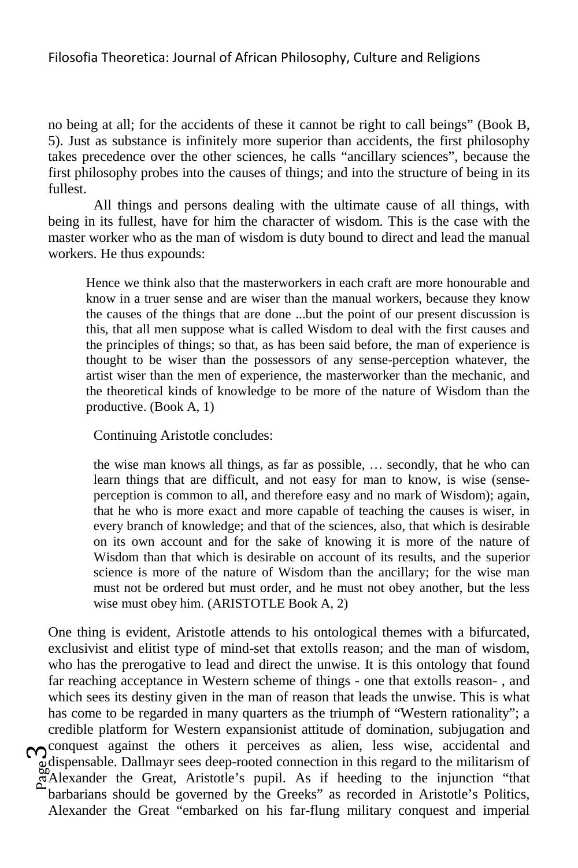no being at all; for the accidents of these it cannot be right to call beings" (Book B, 5). Just as substance is infinitely more superior than accidents, the first philosophy takes precedence over the other sciences, he calls "ancillary sciences", because the first philosophy probes into the causes of things; and into the structure of being in its fullest.

All things and persons dealing with the ultimate cause of all things, with being in its fullest, have for him the character of wisdom. This is the case with the master worker who as the man of wisdom is duty bound to direct and lead the manual workers. He thus expounds:

Hence we think also that the masterworkers in each craft are more honourable and know in a truer sense and are wiser than the manual workers, because they know the causes of the things that are done ...but the point of our present discussion is this, that all men suppose what is called Wisdom to deal with the first causes and the principles of things; so that, as has been said before, the man of experience is thought to be wiser than the possessors of any sense-perception whatever, the artist wiser than the men of experience, the masterworker than the mechanic, and the theoretical kinds of knowledge to be more of the nature of Wisdom than the productive. (Book A, 1)

Continuing Aristotle concludes:

the wise man knows all things, as far as possible, … secondly, that he who can learn things that are difficult, and not easy for man to know, is wise (senseperception is common to all, and therefore easy and no mark of Wisdom); again, that he who is more exact and more capable of teaching the causes is wiser, in every branch of knowledge; and that of the sciences, also, that which is desirable on its own account and for the sake of knowing it is more of the nature of Wisdom than that which is desirable on account of its results, and the superior science is more of the nature of Wisdom than the ancillary; for the wise man must not be ordered but must order, and he must not obey another, but the less wise must obey him. (ARISTOTLE Book A, 2)

adispensable. Dallmayr sees deep-rooted connection in this regard to the militarism of Alexander the Great, Aristotle's pupil. As if heeding to the injunction "that conquest against the others it perceives as alien, less wise, accidental and One thing is evident, Aristotle attends to his ontological themes with a bifurcated, exclusivist and elitist type of mind-set that extolls reason; and the man of wisdom, who has the prerogative to lead and direct the unwise. It is this ontology that found far reaching acceptance in Western scheme of things - one that extolls reason- , and which sees its destiny given in the man of reason that leads the unwise. This is what has come to be regarded in many quarters as the triumph of "Western rationality"; a credible platform for Western expansionist attitude of domination, subjugation and Alexander the Great, Aristotle's pupil. As if heeding to the injunction "that barbarians should be governed by the Greeks" as recorded in Aristotle's Politics, Alexander the Great "embarked on his far-flung military conquest and imperial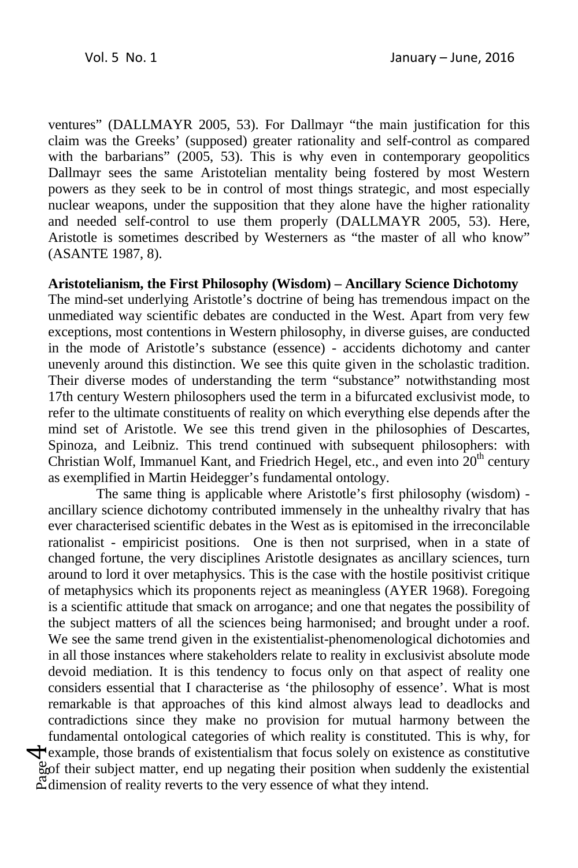ventures" (DALLMAYR 2005, 53). For Dallmayr "the main justification for this claim was the Greeks' (supposed) greater rationality and self-control as compared with the barbarians" (2005, 53). This is why even in contemporary geopolitics Dallmayr sees the same Aristotelian mentality being fostered by most Western powers as they seek to be in control of most things strategic, and most especially nuclear weapons, under the supposition that they alone have the higher rationality and needed self-control to use them properly (DALLMAYR 2005, 53). Here, Aristotle is sometimes described by Westerners as "the master of all who know" (ASANTE 1987, 8).

### **Aristotelianism, the First Philosophy (Wisdom) – Ancillary Science Dichotomy**

The mind-set underlying Aristotle's doctrine of being has tremendous impact on the unmediated way scientific debates are conducted in the West. Apart from very few exceptions, most contentions in Western philosophy, in diverse guises, are conducted in the mode of Aristotle's substance (essence) - accidents dichotomy and canter unevenly around this distinction. We see this quite given in the scholastic tradition. Their diverse modes of understanding the term "substance" notwithstanding most 17th century Western philosophers used the term in a bifurcated exclusivist mode, to refer to the ultimate constituents of reality on which everything else depends after the mind set of Aristotle. We see this trend given in the philosophies of Descartes, Spinoza, and Leibniz. This trend continued with subsequent philosophers: with Christian Wolf, Immanuel Kant, and Friedrich Hegel, etc., and even into  $20<sup>th</sup>$  century as exemplified in Martin Heidegger's fundamental ontology.

 $\frac{8}{60}$  their subject matter, end up negating their position when suddenly the existential  $\frac{8}{60}$  dimension of reality reverts to the very essence of what they intend.  $\bigtriangledown$  example, those brands of existentialism that focus solely on existence as constitutive The same thing is applicable where Aristotle's first philosophy (wisdom) ancillary science dichotomy contributed immensely in the unhealthy rivalry that has ever characterised scientific debates in the West as is epitomised in the irreconcilable rationalist - empiricist positions. One is then not surprised, when in a state of changed fortune, the very disciplines Aristotle designates as ancillary sciences, turn around to lord it over metaphysics. This is the case with the hostile positivist critique of metaphysics which its proponents reject as meaningless (AYER 1968). Foregoing is a scientific attitude that smack on arrogance; and one that negates the possibility of the subject matters of all the sciences being harmonised; and brought under a roof. We see the same trend given in the existentialist-phenomenological dichotomies and in all those instances where stakeholders relate to reality in exclusivist absolute mode devoid mediation. It is this tendency to focus only on that aspect of reality one considers essential that I characterise as 'the philosophy of essence'. What is most remarkable is that approaches of this kind almost always lead to deadlocks and contradictions since they make no provision for mutual harmony between the fundamental ontological categories of which reality is constituted. This is why, for dimension of reality reverts to the very essence of what they intend.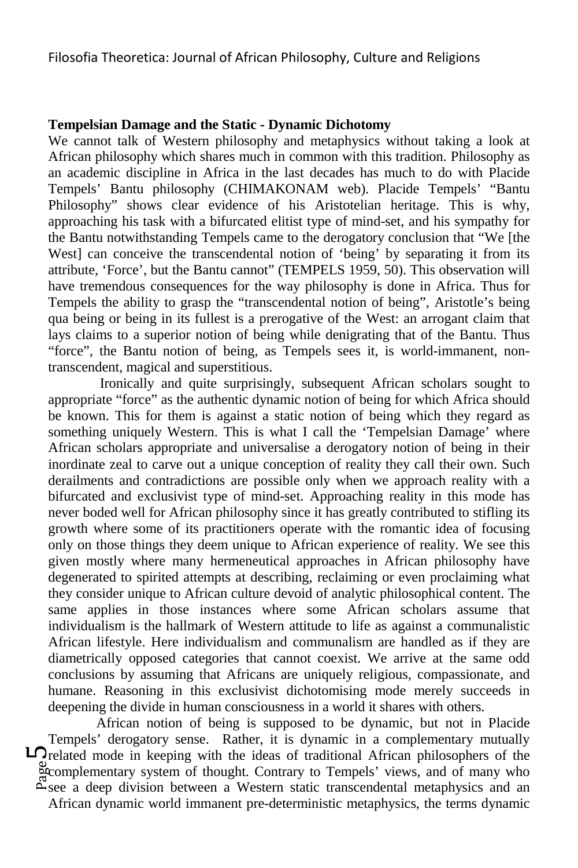#### **Tempelsian Damage and the Static - Dynamic Dichotomy**

We cannot talk of Western philosophy and metaphysics without taking a look at African philosophy which shares much in common with this tradition. Philosophy as an academic discipline in Africa in the last decades has much to do with Placide Tempels' Bantu philosophy (CHIMAKONAM web). Placide Tempels' "Bantu Philosophy" shows clear evidence of his Aristotelian heritage. This is why, approaching his task with a bifurcated elitist type of mind-set, and his sympathy for the Bantu notwithstanding Tempels came to the derogatory conclusion that "We [the West] can conceive the transcendental notion of 'being' by separating it from its attribute, 'Force', but the Bantu cannot" (TEMPELS 1959, 50). This observation will have tremendous consequences for the way philosophy is done in Africa. Thus for Tempels the ability to grasp the "transcendental notion of being", Aristotle's being qua being or being in its fullest is a prerogative of the West: an arrogant claim that lays claims to a superior notion of being while denigrating that of the Bantu. Thus "force", the Bantu notion of being, as Tempels sees it, is world-immanent, nontranscendent, magical and superstitious.

 Ironically and quite surprisingly, subsequent African scholars sought to appropriate "force" as the authentic dynamic notion of being for which Africa should be known. This for them is against a static notion of being which they regard as something uniquely Western. This is what I call the 'Tempelsian Damage' where African scholars appropriate and universalise a derogatory notion of being in their inordinate zeal to carve out a unique conception of reality they call their own. Such derailments and contradictions are possible only when we approach reality with a bifurcated and exclusivist type of mind-set. Approaching reality in this mode has never boded well for African philosophy since it has greatly contributed to stifling its growth where some of its practitioners operate with the romantic idea of focusing only on those things they deem unique to African experience of reality. We see this given mostly where many hermeneutical approaches in African philosophy have degenerated to spirited attempts at describing, reclaiming or even proclaiming what they consider unique to African culture devoid of analytic philosophical content. The same applies in those instances where some African scholars assume that individualism is the hallmark of Western attitude to life as against a communalistic African lifestyle. Here individualism and communalism are handled as if they are diametrically opposed categories that cannot coexist. We arrive at the same odd conclusions by assuming that Africans are uniquely religious, compassionate, and humane. Reasoning in this exclusivist dichotomising mode merely succeeds in deepening the divide in human consciousness in a world it shares with others.

examplementary system of thought. Contrary to Tempels' views, and of many who<br>example a deen division between a Western static transcendental metaphysics and an **L** related mode in keeping with the ideas of traditional African philosophers of the African notion of being is supposed to be dynamic, but not in Placide Tempels' derogatory sense. Rather, it is dynamic in a complementary mutually see a deep division between a Western static transcendental metaphysics and an African dynamic world immanent pre-deterministic metaphysics, the terms dynamic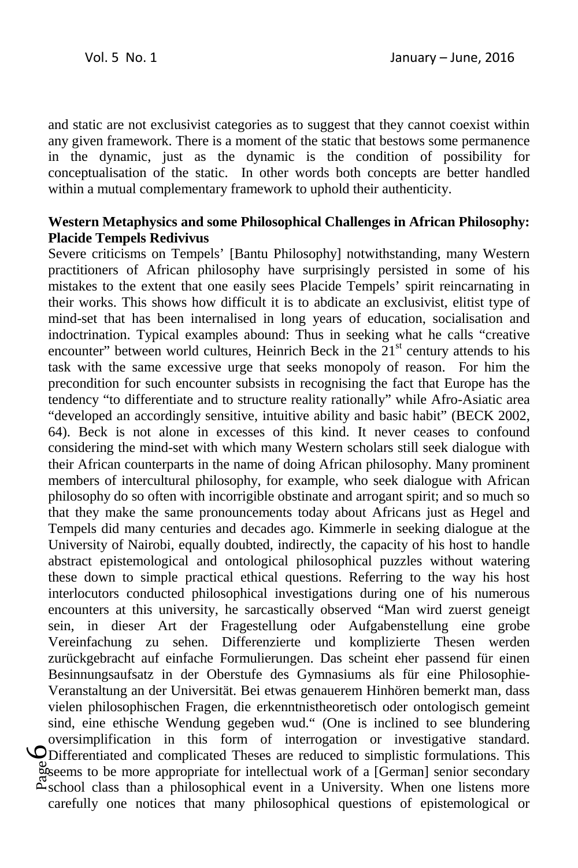and static are not exclusivist categories as to suggest that they cannot coexist within any given framework. There is a moment of the static that bestows some permanence in the dynamic, just as the dynamic is the condition of possibility for conceptualisation of the static. In other words both concepts are better handled within a mutual complementary framework to uphold their authenticity.

## **Western Metaphysics and some Philosophical Challenges in African Philosophy: Placide Tempels Redivivus**

seems to be more appropriate for intellectual work of a [German] senior secondary<br>exchool class than a philosophical event in a University. When one listens more 6Differentiated and complicated Theses are reduced to simplistic formulations. This Severe criticisms on Tempels' [Bantu Philosophy] notwithstanding, many Western practitioners of African philosophy have surprisingly persisted in some of his mistakes to the extent that one easily sees Placide Tempels' spirit reincarnating in their works. This shows how difficult it is to abdicate an exclusivist, elitist type of mind-set that has been internalised in long years of education, socialisation and indoctrination. Typical examples abound: Thus in seeking what he calls "creative encounter" between world cultures, Heinrich Beck in the  $21<sup>st</sup>$  century attends to his task with the same excessive urge that seeks monopoly of reason. For him the precondition for such encounter subsists in recognising the fact that Europe has the tendency "to differentiate and to structure reality rationally" while Afro-Asiatic area "developed an accordingly sensitive, intuitive ability and basic habit" (BECK 2002, 64). Beck is not alone in excesses of this kind. It never ceases to confound considering the mind-set with which many Western scholars still seek dialogue with their African counterparts in the name of doing African philosophy. Many prominent members of intercultural philosophy, for example, who seek dialogue with African philosophy do so often with incorrigible obstinate and arrogant spirit; and so much so that they make the same pronouncements today about Africans just as Hegel and Tempels did many centuries and decades ago. Kimmerle in seeking dialogue at the University of Nairobi, equally doubted, indirectly, the capacity of his host to handle abstract epistemological and ontological philosophical puzzles without watering these down to simple practical ethical questions. Referring to the way his host interlocutors conducted philosophical investigations during one of his numerous encounters at this university, he sarcastically observed "Man wird zuerst geneigt sein, in dieser Art der Fragestellung oder Aufgabenstellung eine grobe Vereinfachung zu sehen. Differenzierte und komplizierte Thesen werden zurückgebracht auf einfache Formulierungen. Das scheint eher passend für einen Besinnungsaufsatz in der Oberstufe des Gymnasiums als für eine Philosophie-Veranstaltung an der Universität. Bei etwas genauerem Hinhören bemerkt man, dass vielen philosophischen Fragen, die erkenntnistheoretisch oder ontologisch gemeint sind, eine ethische Wendung gegeben wud." (One is inclined to see blundering oversimplification in this form of interrogation or investigative standard. school class than a philosophical event in a University. When one listens more carefully one notices that many philosophical questions of epistemological or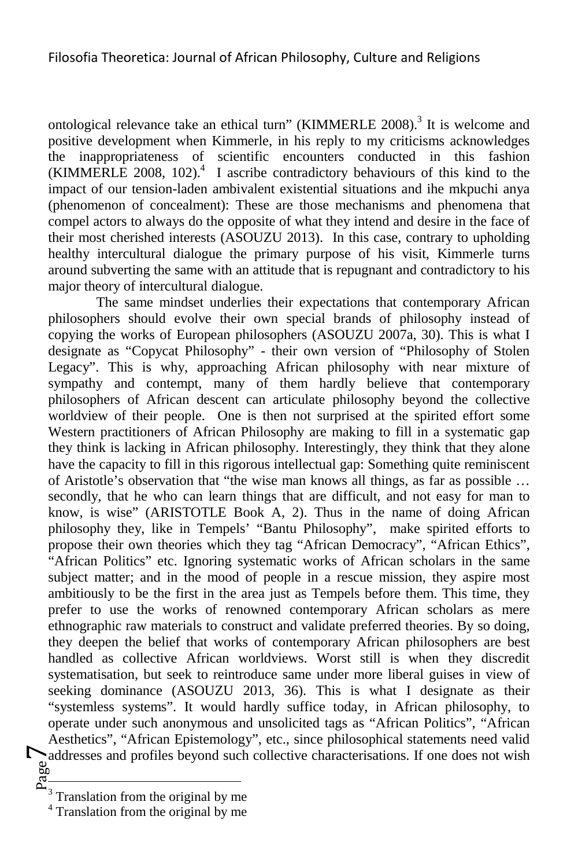ontological relevance take an ethical turn" (KIMMERLE 2008).<sup>3</sup> It is welcome and positive development when Kimmerle, in his reply to my criticisms acknowledges the inappropriateness of scientific encounters conducted in this fashion  $(KIMMERLE 2008, 102).$ <sup>4</sup> I ascribe contradictory behaviours of this kind to the impact of our tension-laden ambivalent existential situations and ihe mkpuchi anya (phenomenon of concealment): These are those mechanisms and phenomena that compel actors to always do the opposite of what they intend and desire in the face of their most cherished interests (ASOUZU 2013). In this case, contrary to upholding healthy intercultural dialogue the primary purpose of his visit, Kimmerle turns around subverting the same with an attitude that is repugnant and contradictory to his major theory of intercultural dialogue.

Page addresses and profiles beyond such collective characterisations. If one does not wish The same mindset underlies their expectations that contemporary African philosophers should evolve their own special brands of philosophy instead of copying the works of European philosophers (ASOUZU 2007a, 30). This is what I designate as "Copycat Philosophy" - their own version of "Philosophy of Stolen Legacy". This is why, approaching African philosophy with near mixture of sympathy and contempt, many of them hardly believe that contemporary philosophers of African descent can articulate philosophy beyond the collective worldview of their people. One is then not surprised at the spirited effort some Western practitioners of African Philosophy are making to fill in a systematic gap they think is lacking in African philosophy. Interestingly, they think that they alone have the capacity to fill in this rigorous intellectual gap: Something quite reminiscent of Aristotle's observation that "the wise man knows all things, as far as possible … secondly, that he who can learn things that are difficult, and not easy for man to know, is wise" (ARISTOTLE Book A, 2). Thus in the name of doing African philosophy they, like in Tempels' "Bantu Philosophy", make spirited efforts to propose their own theories which they tag "African Democracy", "African Ethics", "African Politics" etc. Ignoring systematic works of African scholars in the same subject matter; and in the mood of people in a rescue mission, they aspire most ambitiously to be the first in the area just as Tempels before them. This time, they prefer to use the works of renowned contemporary African scholars as mere ethnographic raw materials to construct and validate preferred theories. By so doing, they deepen the belief that works of contemporary African philosophers are best handled as collective African worldviews. Worst still is when they discredit systematisation, but seek to reintroduce same under more liberal guises in view of seeking dominance (ASOUZU 2013, 36). This is what I designate as their "systemless systems". It would hardly suffice today, in African philosophy, to operate under such anonymous and unsolicited tags as "African Politics", "African Aesthetics", "African Epistemology", etc., since philosophical statements need valid

 $\frac{1}{3}$ Translation from the original by me

<sup>&</sup>lt;sup>4</sup> Translation from the original by me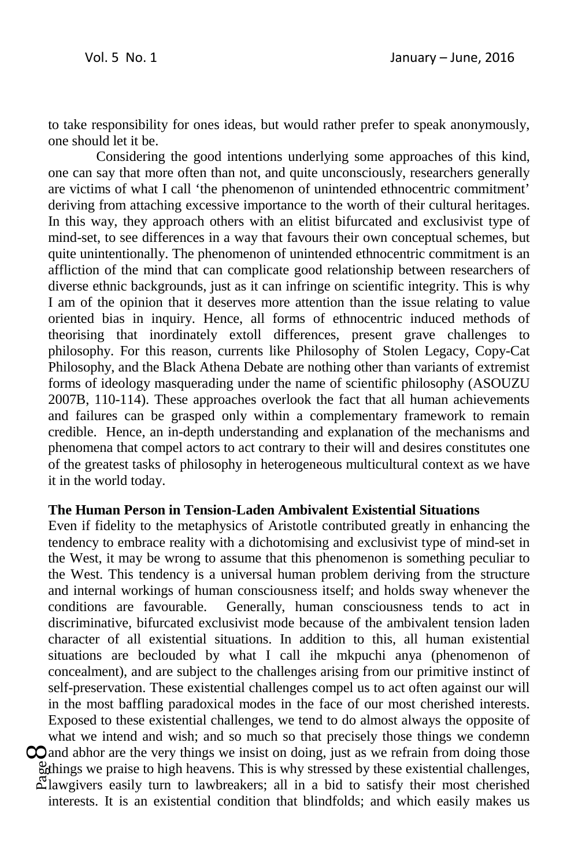to take responsibility for ones ideas, but would rather prefer to speak anonymously, one should let it be.

Considering the good intentions underlying some approaches of this kind, one can say that more often than not, and quite unconsciously, researchers generally are victims of what I call 'the phenomenon of unintended ethnocentric commitment' deriving from attaching excessive importance to the worth of their cultural heritages. In this way, they approach others with an elitist bifurcated and exclusivist type of mind-set, to see differences in a way that favours their own conceptual schemes, but quite unintentionally. The phenomenon of unintended ethnocentric commitment is an affliction of the mind that can complicate good relationship between researchers of diverse ethnic backgrounds, just as it can infringe on scientific integrity. This is why I am of the opinion that it deserves more attention than the issue relating to value oriented bias in inquiry. Hence, all forms of ethnocentric induced methods of theorising that inordinately extoll differences, present grave challenges to philosophy. For this reason, currents like Philosophy of Stolen Legacy, Copy-Cat Philosophy, and the Black Athena Debate are nothing other than variants of extremist forms of ideology masquerading under the name of scientific philosophy (ASOUZU 2007B, 110-114). These approaches overlook the fact that all human achievements and failures can be grasped only within a complementary framework to remain credible. Hence, an in-depth understanding and explanation of the mechanisms and phenomena that compel actors to act contrary to their will and desires constitutes one of the greatest tasks of philosophy in heterogeneous multicultural context as we have it in the world today.

### **The Human Person in Tension-Laden Ambivalent Existential Situations**

 $\mathbb{R}$  lawgivers easily turn to lawbreakers; all in a bid to satisfy their most cherished  $\mathbb{R}$  lawgivers easily turn to lawbreakers; all in a bid to satisfy their most cherished  $\infty$  and abhor are the very things we insist on doing, just as we refrain from doing those things we praise to high heavens. This is why stressed by these existential challenges, Even if fidelity to the metaphysics of Aristotle contributed greatly in enhancing the tendency to embrace reality with a dichotomising and exclusivist type of mind-set in the West, it may be wrong to assume that this phenomenon is something peculiar to the West. This tendency is a universal human problem deriving from the structure and internal workings of human consciousness itself; and holds sway whenever the conditions are favourable. Generally, human consciousness tends to act in discriminative, bifurcated exclusivist mode because of the ambivalent tension laden character of all existential situations. In addition to this, all human existential situations are beclouded by what I call ihe mkpuchi anya (phenomenon of concealment), and are subject to the challenges arising from our primitive instinct of self-preservation. These existential challenges compel us to act often against our will in the most baffling paradoxical modes in the face of our most cherished interests. Exposed to these existential challenges, we tend to do almost always the opposite of what we intend and wish; and so much so that precisely those things we condemn

interests. It is an existential condition that blindfolds; and which easily makes us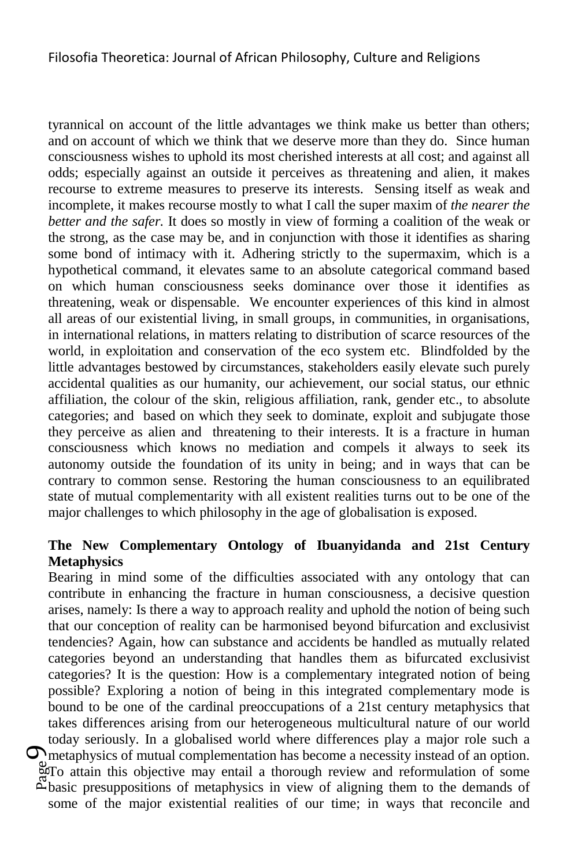tyrannical on account of the little advantages we think make us better than others; and on account of which we think that we deserve more than they do. Since human consciousness wishes to uphold its most cherished interests at all cost; and against all odds; especially against an outside it perceives as threatening and alien, it makes recourse to extreme measures to preserve its interests. Sensing itself as weak and incomplete, it makes recourse mostly to what I call the super maxim of *the nearer the better and the safer.* It does so mostly in view of forming a coalition of the weak or the strong, as the case may be, and in conjunction with those it identifies as sharing some bond of intimacy with it. Adhering strictly to the supermaxim, which is a hypothetical command, it elevates same to an absolute categorical command based on which human consciousness seeks dominance over those it identifies as threatening, weak or dispensable. We encounter experiences of this kind in almost all areas of our existential living, in small groups, in communities, in organisations, in international relations, in matters relating to distribution of scarce resources of the world, in exploitation and conservation of the eco system etc. Blindfolded by the little advantages bestowed by circumstances, stakeholders easily elevate such purely accidental qualities as our humanity, our achievement, our social status, our ethnic affiliation, the colour of the skin, religious affiliation, rank, gender etc., to absolute categories; and based on which they seek to dominate, exploit and subjugate those they perceive as alien and threatening to their interests. It is a fracture in human consciousness which knows no mediation and compels it always to seek its autonomy outside the foundation of its unity in being; and in ways that can be contrary to common sense. Restoring the human consciousness to an equilibrated state of mutual complementarity with all existent realities turns out to be one of the major challenges to which philosophy in the age of globalisation is exposed.

# **The New Complementary Ontology of Ibuanyidanda and 21st Century Metaphysics**

agro attain this objective may entail a thorough review and reformulation of some explosive presuppositions of metaphysics in view of aligning them to the demands of  $\sum$  metaphysics of mutual complementation has become a necessity instead of an option. Bearing in mind some of the difficulties associated with any ontology that can contribute in enhancing the fracture in human consciousness, a decisive question arises, namely: Is there a way to approach reality and uphold the notion of being such that our conception of reality can be harmonised beyond bifurcation and exclusivist tendencies? Again, how can substance and accidents be handled as mutually related categories beyond an understanding that handles them as bifurcated exclusivist categories? It is the question: How is a complementary integrated notion of being possible? Exploring a notion of being in this integrated complementary mode is bound to be one of the cardinal preoccupations of a 21st century metaphysics that takes differences arising from our heterogeneous multicultural nature of our world today seriously. In a globalised world where differences play a major role such a To attain this objective may entail a thorough review and reformulation of some some of the major existential realities of our time; in ways that reconcile and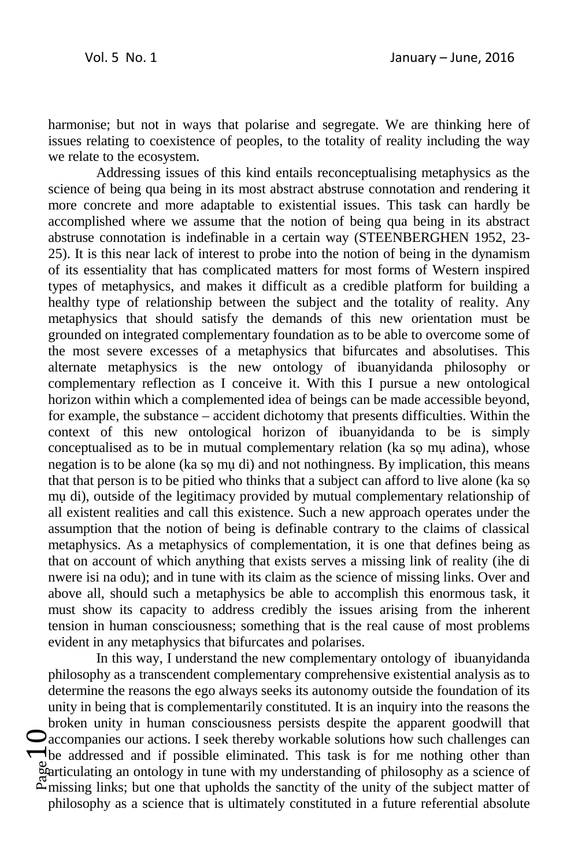harmonise; but not in ways that polarise and segregate. We are thinking here of issues relating to coexistence of peoples, to the totality of reality including the way we relate to the ecosystem.

Addressing issues of this kind entails reconceptualising metaphysics as the science of being qua being in its most abstract abstruse connotation and rendering it more concrete and more adaptable to existential issues. This task can hardly be accomplished where we assume that the notion of being qua being in its abstract abstruse connotation is indefinable in a certain way (STEENBERGHEN 1952, 23- 25). It is this near lack of interest to probe into the notion of being in the dynamism of its essentiality that has complicated matters for most forms of Western inspired types of metaphysics, and makes it difficult as a credible platform for building a healthy type of relationship between the subject and the totality of reality. Any metaphysics that should satisfy the demands of this new orientation must be grounded on integrated complementary foundation as to be able to overcome some of the most severe excesses of a metaphysics that bifurcates and absolutises. This alternate metaphysics is the new ontology of ibuanyidanda philosophy or complementary reflection as I conceive it. With this I pursue a new ontological horizon within which a complemented idea of beings can be made accessible beyond, for example, the substance – accident dichotomy that presents difficulties. Within the context of this new ontological horizon of ibuanyidanda to be is simply conceptualised as to be in mutual complementary relation (ka sọ mụ adina), whose negation is to be alone (ka sọ mụ di) and not nothingness. By implication, this means that that person is to be pitied who thinks that a subject can afford to live alone (ka sọ mụ di), outside of the legitimacy provided by mutual complementary relationship of all existent realities and call this existence. Such a new approach operates under the assumption that the notion of being is definable contrary to the claims of classical metaphysics. As a metaphysics of complementation, it is one that defines being as that on account of which anything that exists serves a missing link of reality (ihe di nwere isi na odu); and in tune with its claim as the science of missing links. Over and above all, should such a metaphysics be able to accomplish this enormous task, it must show its capacity to address credibly the issues arising from the inherent tension in human consciousness; something that is the real cause of most problems evident in any metaphysics that bifurcates and polarises.

 $\sum_{\substack{\text{back}\ \text{start}\ \sim \text{m} \\ \text{m} \equiv \text{m} }}$ In this way, I understand the new complementary ontology of ibuanyidanda philosophy as a transcendent complementary comprehensive existential analysis as to determine the reasons the ego always seeks its autonomy outside the foundation of its unity in being that is complementarily constituted. It is an inquiry into the reasons the broken unity in human consciousness persists despite the apparent goodwill that accompanies our actions. I seek thereby workable solutions how such challenges can be addressed and if possible eliminated. This task is for me nothing other than  $\frac{a}{2}$ articulating an ontology in tune with my understanding of philosophy as a science of  $\mathbb{Z}_{\text{missing links}}$ ; but one that upholds the sanctity of the unity of the subject matter of philosophy as a science that is ultimately constituted in a future referential absolute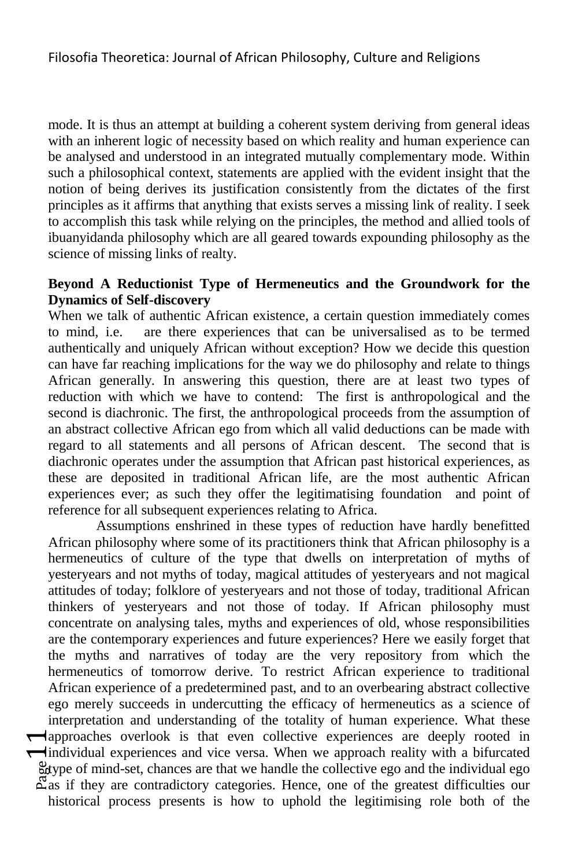mode. It is thus an attempt at building a coherent system deriving from general ideas with an inherent logic of necessity based on which reality and human experience can be analysed and understood in an integrated mutually complementary mode. Within such a philosophical context, statements are applied with the evident insight that the notion of being derives its justification consistently from the dictates of the first principles as it affirms that anything that exists serves a missing link of reality. I seek to accomplish this task while relying on the principles, the method and allied tools of ibuanyidanda philosophy which are all geared towards expounding philosophy as the science of missing links of realty.

## **Beyond A Reductionist Type of Hermeneutics and the Groundwork for the Dynamics of Self-discovery**

When we talk of authentic African existence, a certain question immediately comes to mind, i.e. are there experiences that can be universalised as to be termed authentically and uniquely African without exception? How we decide this question can have far reaching implications for the way we do philosophy and relate to things African generally. In answering this question, there are at least two types of reduction with which we have to contend: The first is anthropological and the second is diachronic. The first, the anthropological proceeds from the assumption of an abstract collective African ego from which all valid deductions can be made with regard to all statements and all persons of African descent. The second that is diachronic operates under the assumption that African past historical experiences, as these are deposited in traditional African life, are the most authentic African experiences ever; as such they offer the legitimatising foundation and point of reference for all subsequent experiences relating to Africa.

 $\begin{array}{c}\n\bigoplus_{\substack{\text{bdy}\\ \text{cdy}}} \text{Im}\left\{\begin{array}{c}\n\bigoplus_{\substack{\text{cdy}\\ \text{cdy}}}\n\bigoplus_{\substack{\text{cdy}\\ \text{cdy}}}\n\bigoplus_{\substack{\text{cdy}\\ \text{cdy}}}\n\bigoplus_{\substack{\text{cdy}\\ \text{cdy}}}\n\bigoplus_{\substack{\text{cdy}\\ \text{cdy}}}\n\bigoplus_{\substack{\text{cdy}\\ \text{cdy}}}\n\bigoplus_{\substack{\text{cdy}\\ \text{cdy}}}\n\bigoplus_{\substack{\text{cdy}\\ \text{cdy}}}\n\$ Assumptions enshrined in these types of reduction have hardly benefitted African philosophy where some of its practitioners think that African philosophy is a hermeneutics of culture of the type that dwells on interpretation of myths of yesteryears and not myths of today, magical attitudes of yesteryears and not magical attitudes of today; folklore of yesteryears and not those of today, traditional African thinkers of yesteryears and not those of today. If African philosophy must concentrate on analysing tales, myths and experiences of old, whose responsibilities are the contemporary experiences and future experiences? Here we easily forget that the myths and narratives of today are the very repository from which the hermeneutics of tomorrow derive. To restrict African experience to traditional African experience of a predetermined past, and to an overbearing abstract collective ego merely succeeds in undercutting the efficacy of hermeneutics as a science of interpretation and understanding of the totality of human experience. What these **I** dependence overlook is that even collective experiences are deeply rooted in individual experiences and vice versa. When we approach reality with a bifurcated type of mind-set, chances are that we handle the collective ego and the individual ego  $\mathbb{Z}_{\text{as}}$  if they are contradictory categories. Hence, one of the greatest difficulties our historical process presents is how to uphold the legitimising role both of the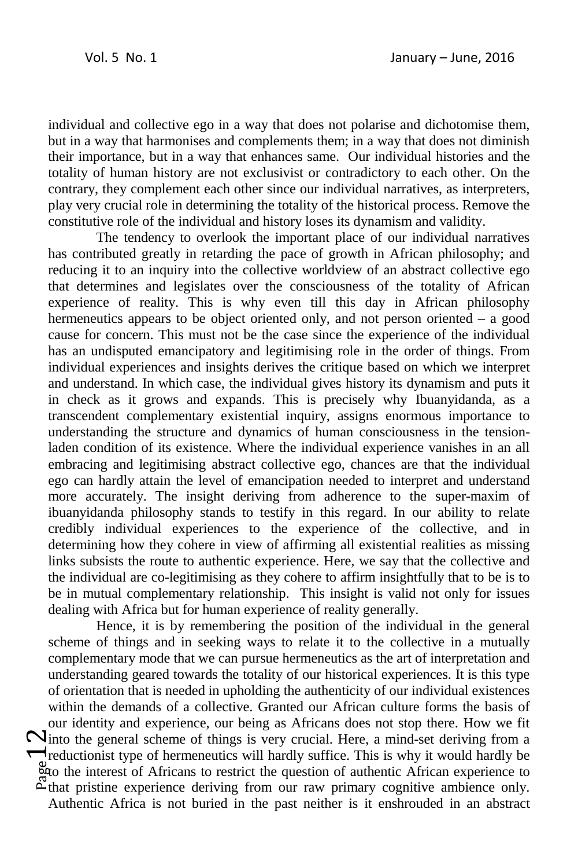individual and collective ego in a way that does not polarise and dichotomise them, but in a way that harmonises and complements them; in a way that does not diminish their importance, but in a way that enhances same. Our individual histories and the totality of human history are not exclusivist or contradictory to each other. On the contrary, they complement each other since our individual narratives, as interpreters, play very crucial role in determining the totality of the historical process. Remove the constitutive role of the individual and history loses its dynamism and validity.

The tendency to overlook the important place of our individual narratives has contributed greatly in retarding the pace of growth in African philosophy; and reducing it to an inquiry into the collective worldview of an abstract collective ego that determines and legislates over the consciousness of the totality of African experience of reality. This is why even till this day in African philosophy hermeneutics appears to be object oriented only, and not person oriented – a good cause for concern. This must not be the case since the experience of the individual has an undisputed emancipatory and legitimising role in the order of things. From individual experiences and insights derives the critique based on which we interpret and understand. In which case, the individual gives history its dynamism and puts it in check as it grows and expands. This is precisely why Ibuanyidanda, as a transcendent complementary existential inquiry, assigns enormous importance to understanding the structure and dynamics of human consciousness in the tensionladen condition of its existence. Where the individual experience vanishes in an all embracing and legitimising abstract collective ego, chances are that the individual ego can hardly attain the level of emancipation needed to interpret and understand more accurately. The insight deriving from adherence to the super-maxim of ibuanyidanda philosophy stands to testify in this regard. In our ability to relate credibly individual experiences to the experience of the collective, and in determining how they cohere in view of affirming all existential realities as missing links subsists the route to authentic experience. Here, we say that the collective and the individual are co-legitimising as they cohere to affirm insightfully that to be is to be in mutual complementary relationship. This insight is valid not only for issues dealing with Africa but for human experience of reality generally.

 $\sum_{\substack{\text{bato}\\ \text{auro}\\ \text{a~the}}}\sum_{\substack{\text{bato}\\ \text{b~the}}}\sum_{\substack{\text{bato}\\ \text{b~the}}}\sum_{\substack{\text{bato}\\ \text{b~the}}}\sum_{\substack{\text{bato}\\ \text{b~the}}}\sum_{\substack{\text{bato}\\ \text{b~the}}}\sum_{\substack{\text{boto}\\ \text{b~the}}}\sum_{\substack{\text{boto}\\ \text{b~the}}}\sum_{\substack{\text{boto}\\ \text{b~the}}}\sum_{\substack{\text{boto}\\ \text{b~the}}}}\sum_{\substack{\text{bub}}}{\binom{1}{\text{b$ Hence, it is by remembering the position of the individual in the general scheme of things and in seeking ways to relate it to the collective in a mutually complementary mode that we can pursue hermeneutics as the art of interpretation and understanding geared towards the totality of our historical experiences. It is this type of orientation that is needed in upholding the authenticity of our individual existences within the demands of a collective. Granted our African culture forms the basis of our identity and experience, our being as Africans does not stop there. How we fit Ninto the general scheme of things is very crucial. Here, a mind-set deriving from a reductionist type of hermeneutics will hardly suffice. This is why it would hardly be to the interest of Africans to restrict the question of authentic African experience to that pristine experience deriving from our raw primary cognitive ambience only. Authentic Africa is not buried in the past neither is it enshrouded in an abstract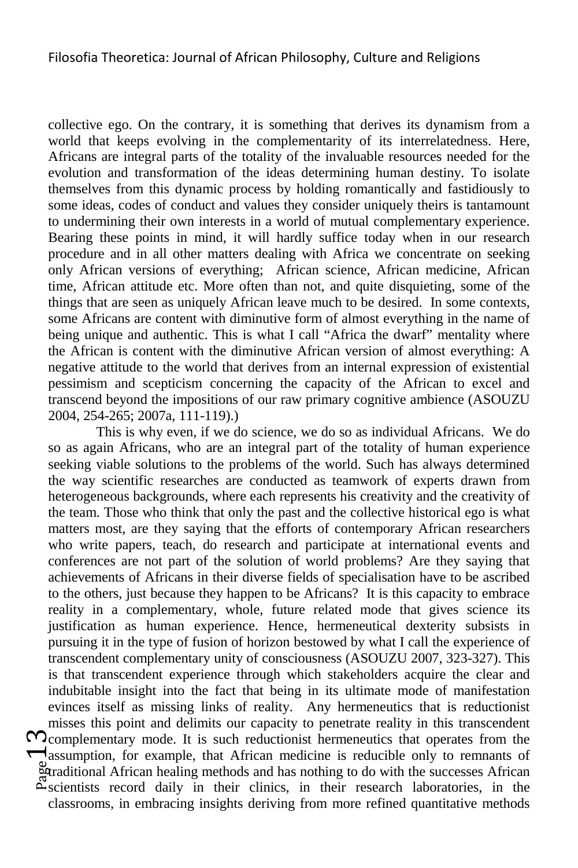collective ego. On the contrary, it is something that derives its dynamism from a world that keeps evolving in the complementarity of its interrelatedness. Here, Africans are integral parts of the totality of the invaluable resources needed for the evolution and transformation of the ideas determining human destiny. To isolate themselves from this dynamic process by holding romantically and fastidiously to some ideas, codes of conduct and values they consider uniquely theirs is tantamount to undermining their own interests in a world of mutual complementary experience. Bearing these points in mind, it will hardly suffice today when in our research procedure and in all other matters dealing with Africa we concentrate on seeking only African versions of everything; African science, African medicine, African time, African attitude etc. More often than not, and quite disquieting, some of the things that are seen as uniquely African leave much to be desired. In some contexts, some Africans are content with diminutive form of almost everything in the name of being unique and authentic. This is what I call "Africa the dwarf" mentality where the African is content with the diminutive African version of almost everything: A negative attitude to the world that derives from an internal expression of existential pessimism and scepticism concerning the capacity of the African to excel and transcend beyond the impositions of our raw primary cognitive ambience (ASOUZU 2004, 254-265; 2007a, 111-119).)

 $\sum_{\substack{\text{over}}{\text{left}}}^{\infty}$ This is why even, if we do science, we do so as individual Africans. We do so as again Africans, who are an integral part of the totality of human experience seeking viable solutions to the problems of the world. Such has always determined the way scientific researches are conducted as teamwork of experts drawn from heterogeneous backgrounds, where each represents his creativity and the creativity of the team. Those who think that only the past and the collective historical ego is what matters most, are they saying that the efforts of contemporary African researchers who write papers, teach, do research and participate at international events and conferences are not part of the solution of world problems? Are they saying that achievements of Africans in their diverse fields of specialisation have to be ascribed to the others, just because they happen to be Africans? It is this capacity to embrace reality in a complementary, whole, future related mode that gives science its justification as human experience. Hence, hermeneutical dexterity subsists in pursuing it in the type of fusion of horizon bestowed by what I call the experience of transcendent complementary unity of consciousness (ASOUZU 2007, 323-327). This is that transcendent experience through which stakeholders acquire the clear and indubitable insight into the fact that being in its ultimate mode of manifestation evinces itself as missing links of reality. Any hermeneutics that is reductionist misses this point and delimits our capacity to penetrate reality in this transcendent  $\infty$ complementary mode. It is such reductionist hermeneutics that operates from the assumption, for example, that African medicine is reducible only to remnants of **Example 1** African healing methods and has nothing to do with the successes African  $\mathbb{Z}$ scientists record daily in their clinics, in their research laboratories, in the classrooms, in embracing insights deriving from more refined quantitative methods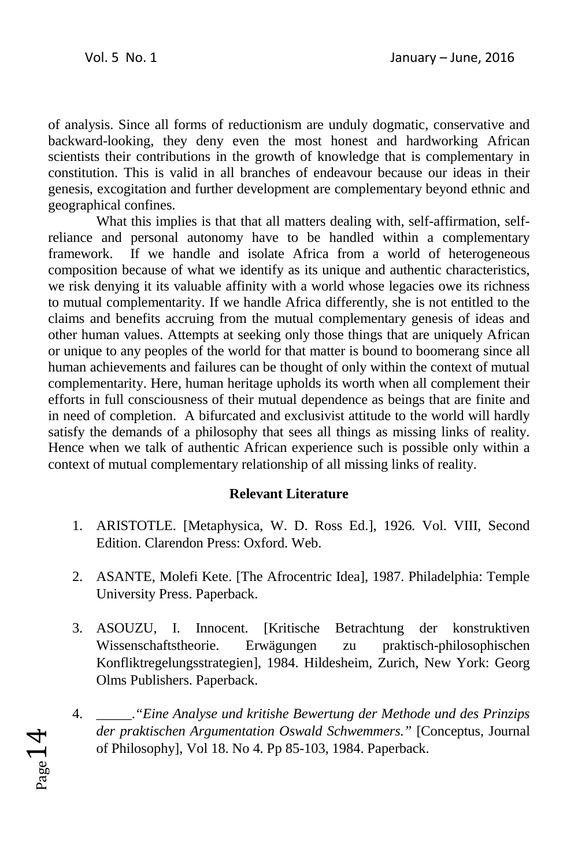of analysis. Since all forms of reductionism are unduly dogmatic, conservative and backward-looking, they deny even the most honest and hardworking African scientists their contributions in the growth of knowledge that is complementary in constitution. This is valid in all branches of endeavour because our ideas in their genesis, excogitation and further development are complementary beyond ethnic and geographical confines.

What this implies is that that all matters dealing with, self-affirmation, selfreliance and personal autonomy have to be handled within a complementary framework. If we handle and isolate Africa from a world of heterogeneous composition because of what we identify as its unique and authentic characteristics, we risk denying it its valuable affinity with a world whose legacies owe its richness to mutual complementarity. If we handle Africa differently, she is not entitled to the claims and benefits accruing from the mutual complementary genesis of ideas and other human values. Attempts at seeking only those things that are uniquely African or unique to any peoples of the world for that matter is bound to boomerang since all human achievements and failures can be thought of only within the context of mutual complementarity. Here, human heritage upholds its worth when all complement their efforts in full consciousness of their mutual dependence as beings that are finite and in need of completion. A bifurcated and exclusivist attitude to the world will hardly satisfy the demands of a philosophy that sees all things as missing links of reality. Hence when we talk of authentic African experience such is possible only within a context of mutual complementary relationship of all missing links of reality.

# **Relevant Literature**

- 1. ARISTOTLE. [Metaphysica, W. D. Ross Ed.], 1926. Vol. VIII, Second Edition. Clarendon Press: Oxford. Web.
- 2. ASANTE, Molefi Kete. [The Afrocentric Idea], 1987. Philadelphia: Temple University Press. Paperback.
- 3. ASOUZU, I. Innocent. [Kritische Betrachtung der konstruktiven Wissenschaftstheorie. Erwägungen zu praktisch-philosophischen Konfliktregelungsstrategien], 1984. Hildesheim, Zurich, New York: Georg Olms Publishers. Paperback.
- 4. \_\_\_\_\_.*"Eine Analyse und kritishe Bewertung der Methode und des Prinzips der praktischen Argumentation Oswald Schwemmers."* [Conceptus, Journal of Philosophy], Vol 18. No 4. Pp 85-103, 1984. Paperback.

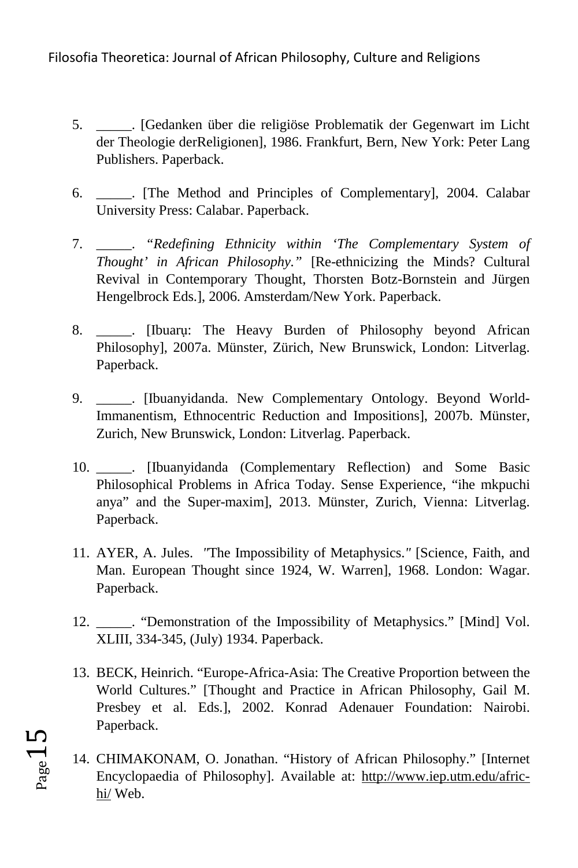- 5. \_\_\_\_\_. [Gedanken über die religiöse Problematik der Gegenwart im Licht der Theologie derReligionen], 1986. Frankfurt, Bern, New York: Peter Lang Publishers. Paperback.
- 6. \_\_\_\_\_. [The Method and Principles of Complementary], 2004. Calabar University Press: Calabar. Paperback.
- 7. \_\_\_\_\_. *"Redefining Ethnicity within 'The Complementary System of Thought' in African Philosophy."* [Re-ethnicizing the Minds? Cultural Revival in Contemporary Thought, Thorsten Botz-Bornstein and Jürgen Hengelbrock Eds.], 2006. Amsterdam/New York. Paperback.
- 8. **IIbuaru:** The Heavy Burden of Philosophy beyond African Philosophy], 2007a. Münster, Zürich, New Brunswick, London: Litverlag. Paperback.
- 9. \_\_\_\_\_. [Ibuanyidanda. New Complementary Ontology. Beyond World-Immanentism, Ethnocentric Reduction and Impositions], 2007b. Münster, Zurich, New Brunswick, London: Litverlag. Paperback.
- 10. \_\_\_\_\_. [Ibuanyidanda (Complementary Reflection) and Some Basic Philosophical Problems in Africa Today. Sense Experience, "ihe mkpuchi anya" and the Super-maxim], 2013. Münster, Zurich, Vienna: Litverlag. Paperback.
- 11. AYER, A. Jules. *"*The Impossibility of Metaphysics.*"* [Science, Faith, and Man. European Thought since 1924, W. Warren], 1968. London: Wagar. Paperback.
- 12. **The 1-12.** The monstration of the Impossibility of Metaphysics." [Mind] Vol. XLIII, 334-345, (July) 1934. Paperback.
- 13. BECK, Heinrich. "Europe-Africa-Asia: The Creative Proportion between the World Cultures." [Thought and Practice in African Philosophy, Gail M. Presbey et al. Eds.], 2002. Konrad Adenauer Foundation: Nairobi. Paperback.
- 14. CHIMAKONAM, O. Jonathan. "History of African Philosophy." [Internet Encyclopaedia of Philosophy]. Available at: http://www.iep.utm.edu/africhi/ Web.

 $P_{\text{age}}15$